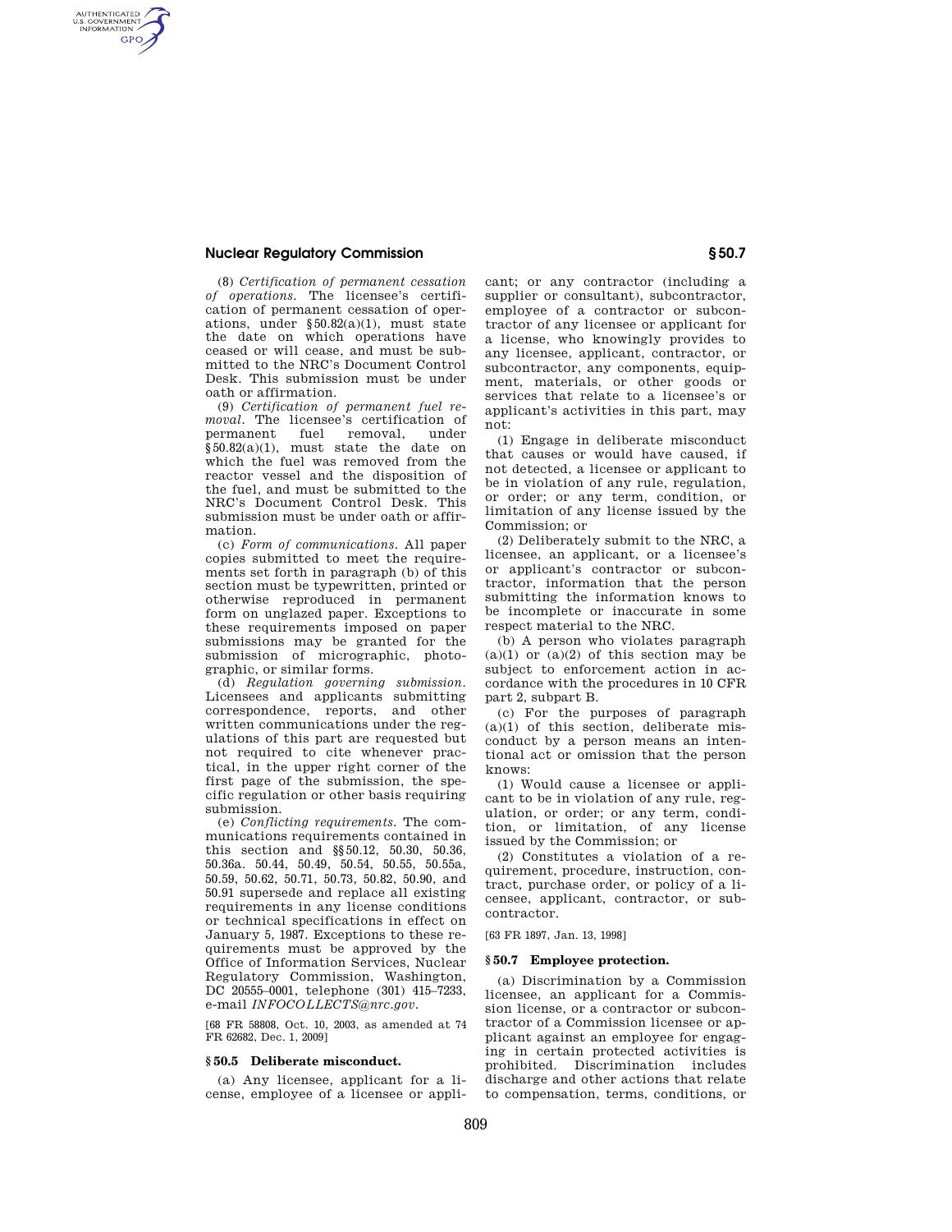# **Nuclear Regulatory Commission § 50.7**

AUTHENTICATED<br>U.S. GOVERNMENT<br>INFORMATION **GPO** 

> (8) *Certification of permanent cessation of operations.* The licensee's certification of permanent cessation of operations, under §50.82(a)(1), must state the date on which operations have ceased or will cease, and must be submitted to the NRC's Document Control Desk. This submission must be under oath or affirmation.

> (9) *Certification of permanent fuel removal.* The licensee's certification of permanent fuel removal, under §50.82(a)(1), must state the date on which the fuel was removed from the reactor vessel and the disposition of the fuel, and must be submitted to the NRC's Document Control Desk. This submission must be under oath or affirmation.

> (c) *Form of communications.* All paper copies submitted to meet the requirements set forth in paragraph (b) of this section must be typewritten, printed or otherwise reproduced in permanent form on unglazed paper. Exceptions to these requirements imposed on paper submissions may be granted for the submission of micrographic, photographic, or similar forms.

> (d) *Regulation governing submission.*  Licensees and applicants submitting correspondence, reports, and other written communications under the regulations of this part are requested but not required to cite whenever practical, in the upper right corner of the first page of the submission, the specific regulation or other basis requiring submission.

> (e) *Conflicting requirements.* The communications requirements contained in this section and §§50.12, 50.30, 50.36, 50.36a. 50.44, 50.49, 50.54, 50.55, 50.55a, 50.59, 50.62, 50.71, 50.73, 50.82, 50.90, and 50.91 supersede and replace all existing requirements in any license conditions or technical specifications in effect on January 5, 1987. Exceptions to these requirements must be approved by the Office of Information Services, Nuclear Regulatory Commission, Washington, DC 20555–0001, telephone (301) 415–7233, e-mail *INFOCOLLECTS@nrc.gov.*

> [68 FR 58808, Oct. 10, 2003, as amended at 74 FR 62682, Dec. 1, 2009]

### **§ 50.5 Deliberate misconduct.**

(a) Any licensee, applicant for a license, employee of a licensee or applicant; or any contractor (including a supplier or consultant), subcontractor, employee of a contractor or subcontractor of any licensee or applicant for a license, who knowingly provides to any licensee, applicant, contractor, or subcontractor, any components, equipment, materials, or other goods or services that relate to a licensee's or applicant's activities in this part, may not:

(1) Engage in deliberate misconduct that causes or would have caused, if not detected, a licensee or applicant to be in violation of any rule, regulation, or order; or any term, condition, or limitation of any license issued by the Commission; or

(2) Deliberately submit to the NRC, a licensee, an applicant, or a licensee's or applicant's contractor or subcontractor, information that the person submitting the information knows to be incomplete or inaccurate in some respect material to the NRC.

(b) A person who violates paragraph  $(a)(1)$  or  $(a)(2)$  of this section may be subject to enforcement action in accordance with the procedures in 10 CFR part 2, subpart B.

(c) For the purposes of paragraph  $(a)(1)$  of this section, deliberate misconduct by a person means an intentional act or omission that the person knows:

(1) Would cause a licensee or applicant to be in violation of any rule, regulation, or order; or any term, condition, or limitation, of any license issued by the Commission; or

(2) Constitutes a violation of a requirement, procedure, instruction, contract, purchase order, or policy of a licensee, applicant, contractor, or subcontractor.

[63 FR 1897, Jan. 13, 1998]

# **§ 50.7 Employee protection.**

(a) Discrimination by a Commission licensee, an applicant for a Commission license, or a contractor or subcontractor of a Commission licensee or applicant against an employee for engaging in certain protected activities is prohibited. Discrimination includes discharge and other actions that relate to compensation, terms, conditions, or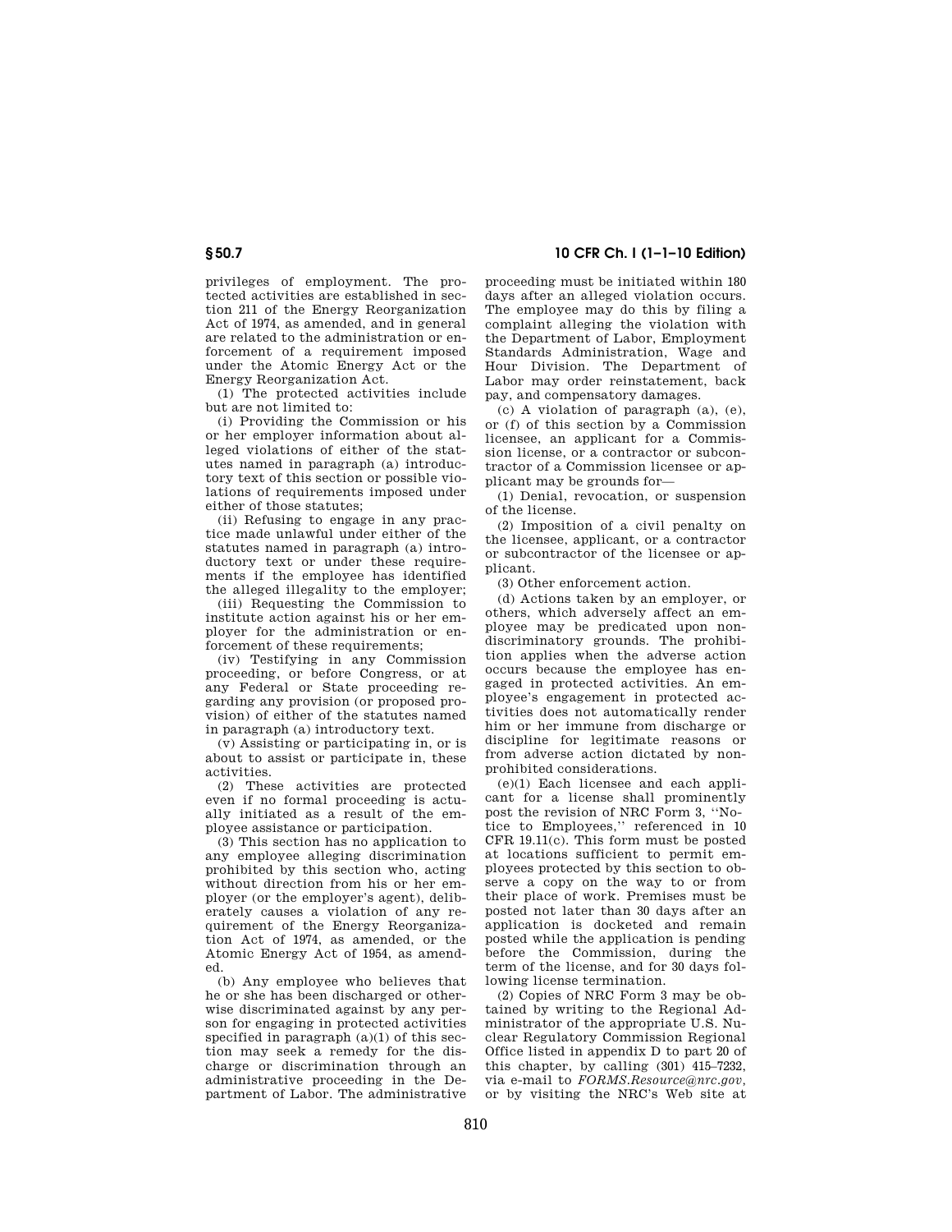privileges of employment. The protected activities are established in section 211 of the Energy Reorganization Act of 1974, as amended, and in general are related to the administration or enforcement of a requirement imposed under the Atomic Energy Act or the Energy Reorganization Act.

(1) The protected activities include but are not limited to:

(i) Providing the Commission or his or her employer information about alleged violations of either of the statutes named in paragraph (a) introductory text of this section or possible violations of requirements imposed under either of those statutes;

(ii) Refusing to engage in any practice made unlawful under either of the statutes named in paragraph (a) introductory text or under these requirements if the employee has identified the alleged illegality to the employer;

(iii) Requesting the Commission to institute action against his or her employer for the administration or enforcement of these requirements:

(iv) Testifying in any Commission proceeding, or before Congress, or at any Federal or State proceeding regarding any provision (or proposed provision) of either of the statutes named in paragraph (a) introductory text.

(v) Assisting or participating in, or is about to assist or participate in, these activities.

(2) These activities are protected even if no formal proceeding is actually initiated as a result of the employee assistance or participation.

(3) This section has no application to any employee alleging discrimination prohibited by this section who, acting without direction from his or her employer (or the employer's agent), deliberately causes a violation of any requirement of the Energy Reorganization Act of 1974, as amended, or the Atomic Energy Act of 1954, as amended.

(b) Any employee who believes that he or she has been discharged or otherwise discriminated against by any person for engaging in protected activities specified in paragraph  $(a)(1)$  of this section may seek a remedy for the discharge or discrimination through an administrative proceeding in the Department of Labor. The administrative

**§ 50.7 10 CFR Ch. I (1–1–10 Edition)** 

proceeding must be initiated within 180 days after an alleged violation occurs. The employee may do this by filing a complaint alleging the violation with the Department of Labor, Employment Standards Administration, Wage and Hour Division. The Department of Labor may order reinstatement, back pay, and compensatory damages.

(c) A violation of paragraph (a), (e), or (f) of this section by a Commission licensee, an applicant for a Commission license, or a contractor or subcontractor of a Commission licensee or applicant may be grounds for—

(1) Denial, revocation, or suspension of the license.

(2) Imposition of a civil penalty on the licensee, applicant, or a contractor or subcontractor of the licensee or applicant.

(3) Other enforcement action.

(d) Actions taken by an employer, or others, which adversely affect an employee may be predicated upon nondiscriminatory grounds. The prohibition applies when the adverse action occurs because the employee has engaged in protected activities. An employee's engagement in protected activities does not automatically render him or her immune from discharge or discipline for legitimate reasons or from adverse action dictated by nonprohibited considerations.

(e)(1) Each licensee and each applicant for a license shall prominently post the revision of NRC Form 3, ''Notice to Employees,'' referenced in 10 CFR 19.11(c). This form must be posted at locations sufficient to permit employees protected by this section to observe a copy on the way to or from their place of work. Premises must be posted not later than 30 days after an application is docketed and remain posted while the application is pending before the Commission, during the term of the license, and for 30 days following license termination.

(2) Copies of NRC Form 3 may be obtained by writing to the Regional Administrator of the appropriate U.S. Nuclear Regulatory Commission Regional Office listed in appendix D to part 20 of this chapter, by calling (301) 415–7232, via e-mail to *FORMS.Resource@nrc.gov,*  or by visiting the NRC's Web site at